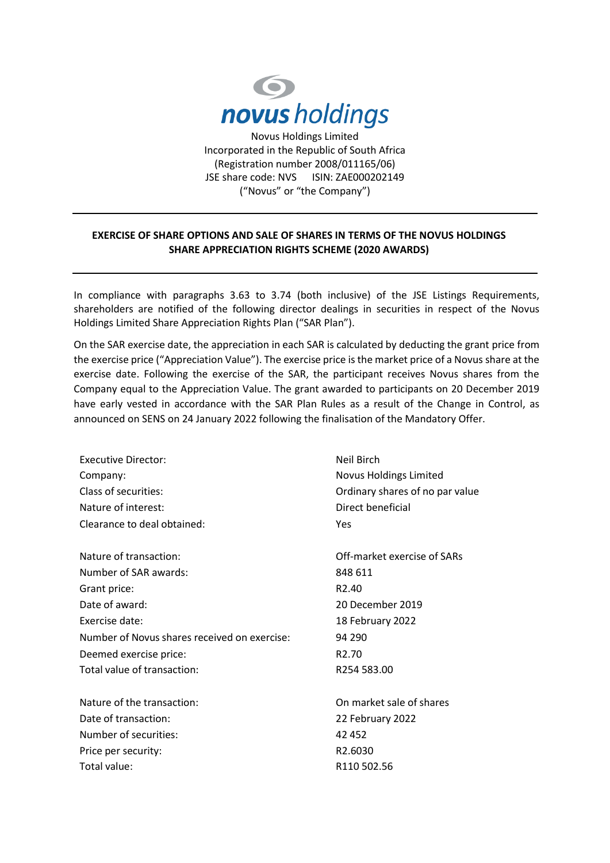

Incorporated in the Republic of South Africa (Registration number 2008/011165/06) JSE share code: NVS ISIN: ZAE000202149 ("Novus" or "the Company")

## **EXERCISE OF SHARE OPTIONS AND SALE OF SHARES IN TERMS OF THE NOVUS HOLDINGS SHARE APPRECIATION RIGHTS SCHEME (2020 AWARDS)**

In compliance with paragraphs 3.63 to 3.74 (both inclusive) of the JSE Listings Requirements, shareholders are notified of the following director dealings in securities in respect of the Novus Holdings Limited Share Appreciation Rights Plan ("SAR Plan").

On the SAR exercise date, the appreciation in each SAR is calculated by deducting the grant price from the exercise price ("Appreciation Value"). The exercise price is the market price of a Novus share at the exercise date. Following the exercise of the SAR, the participant receives Novus shares from the Company equal to the Appreciation Value. The grant awarded to participants on 20 December 2019 have early vested in accordance with the SAR Plan Rules as a result of the Change in Control, as announced on SENS on 24 January 2022 following the finalisation of the Mandatory Offer.

| <b>Executive Director:</b>                   | <b>Neil Birch</b>               |
|----------------------------------------------|---------------------------------|
| Company:                                     | Novus Holdings Limited          |
| Class of securities:                         | Ordinary shares of no par value |
| Nature of interest:                          | Direct beneficial               |
| Clearance to deal obtained:                  | Yes                             |
| Nature of transaction:                       | Off-market exercise of SARs     |
| Number of SAR awards:                        | 848 611                         |
| Grant price:                                 | R <sub>2.40</sub>               |
| Date of award:                               | 20 December 2019                |
| Exercise date:                               | 18 February 2022                |
| Number of Novus shares received on exercise: | 94 290                          |
| Deemed exercise price:                       | R <sub>2.70</sub>               |
| Total value of transaction:                  | R254 583.00                     |
| Nature of the transaction:                   | On market sale of shares        |
| Date of transaction:                         | 22 February 2022                |
| Number of securities:                        | 42 452                          |
| Price per security:                          | R2.6030                         |
| Total value:                                 | R110 502.56                     |
|                                              |                                 |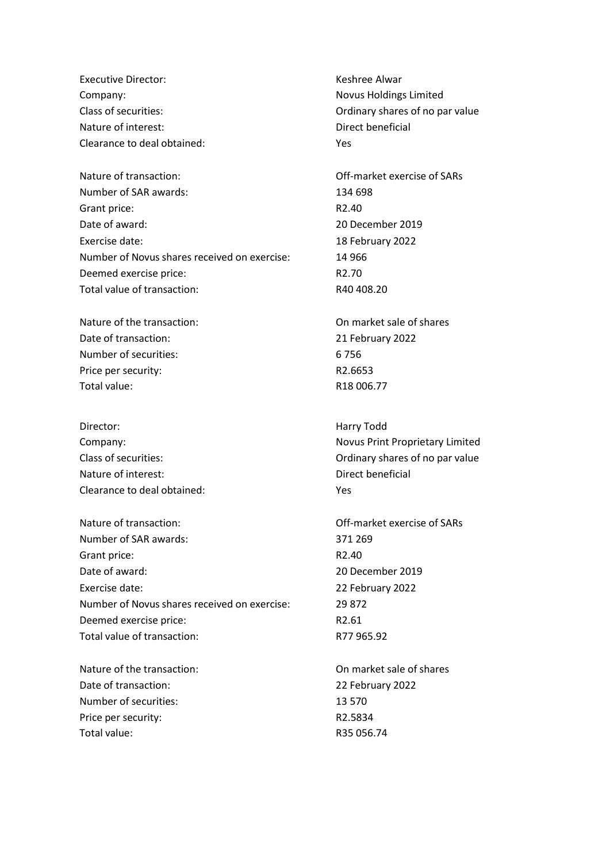Executive Director: The Contract of the Results of the Keshree Alwar Company: Novus Holdings Limited Nature of interest:  $\qquad \qquad$  Direct beneficial Clearance to deal obtained: Yes

Nature of transaction: Off-market exercise of SARs Number of SAR awards: 134 698 Grant price: R2.40 Date of award: 20 December 2019 Exercise date: 18 February 2022 Number of Novus shares received on exercise: 14 966 Deemed exercise price:  $R2.70$ Total value of transaction: Total value of transaction:

Nature of the transaction: On market sale of shares Date of transaction: 21 February 2022 Number of securities: 6 756 Price per security: R2.6653 Total value: R18 006.77

Director: Harry Todd Nature of interest:  $\qquad \qquad$  Direct beneficial Clearance to deal obtained: Yes

Nature of transaction: Off-market exercise of SARs Number of SAR awards: 371 269 Grant price: R2.40 Date of award: 20 December 2019 Exercise date: 22 February 2022 Number of Novus shares received on exercise: 29 872 Deemed exercise price: R2.61 Total value of transaction: R77 965.92

Nature of the transaction: Nature of shares Date of transaction: 22 February 2022 Number of securities: 13 570 Price per security: R2.5834 Total value:  $R35056.74$ 

Class of securities: Ordinary shares of no par value

Company: Novus Print Proprietary Limited Class of securities: Ordinary shares of no par value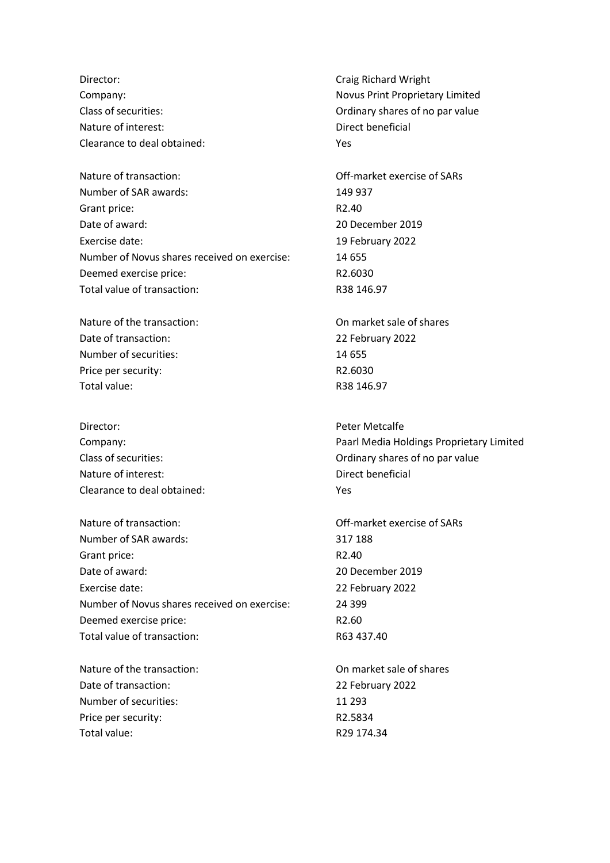Director: Craig Richard Wright Nature of interest:  $\qquad \qquad$  Direct beneficial Clearance to deal obtained: Yes

Nature of transaction: Off-market exercise of SARs Number of SAR awards: 149 937 Grant price: R2.40 Date of award: 20 December 2019 Exercise date: 19 February 2022 Number of Novus shares received on exercise: 14 655 Deemed exercise price: R2.6030 Total value of transaction: R38 146.97

Nature of the transaction: On market sale of shares Date of transaction: 22 February 2022 Number of securities: 14 655 Price per security: R2.6030 Total value: R38 146.97

Director: Peter Metcalfe Nature of interest: Nature of interest: Clearance to deal obtained: Yes

Nature of transaction: Off-market exercise of SARs Number of SAR awards: 317 188 Grant price: R2.40 Date of award: 20 December 2019 Exercise date: 22 February 2022 Number of Novus shares received on exercise: 24 399 Deemed exercise price: R2.60 Total value of transaction: R63 437.40

Nature of the transaction: Nature of shares Date of transaction: 22 February 2022 Number of securities: 11 293 Price per security:  $R2.5834$ Total value: Total value: R29 174.34

Company: Novus Print Proprietary Limited Class of securities: Ordinary shares of no par value

Company: Paarl Media Holdings Proprietary Limited Class of securities: Ordinary shares of no par value